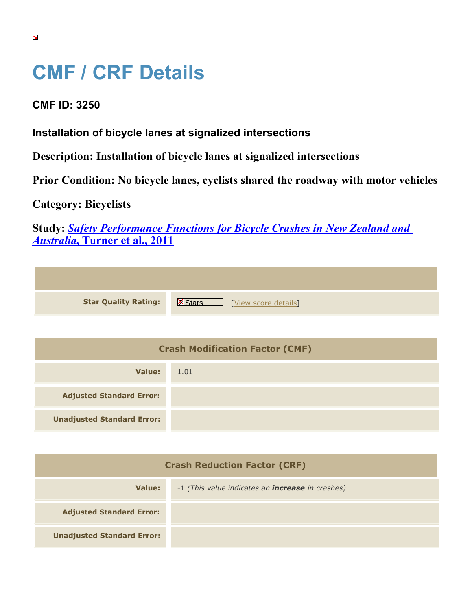## **CMF / CRF Details**

## **CMF ID: 3250**

**Installation of bicycle lanes at signalized intersections**

**Description: Installation of bicycle lanes at signalized intersections**

**Prior Condition: No bicycle lanes, cyclists shared the roadway with motor vehicles**

**Category: Bicyclists**

**Study:** *[Safety Performance Functions for Bicycle Crashes in New Zealand and](https://cmfclearinghouse.org/study_detail.cfm?stid=230) [Australia](https://cmfclearinghouse.org/study_detail.cfm?stid=230)***[, Turner et al., 2011](https://cmfclearinghouse.org/study_detail.cfm?stid=230)**

| <b>Star Quality Rating:</b> | IX<br>[View score details] |
|-----------------------------|----------------------------|
|                             |                            |

| <b>Crash Modification Factor (CMF)</b> |      |  |
|----------------------------------------|------|--|
| Value:                                 | 1.01 |  |
| <b>Adjusted Standard Error:</b>        |      |  |
| <b>Unadjusted Standard Error:</b>      |      |  |

| <b>Crash Reduction Factor (CRF)</b> |                                                         |  |
|-------------------------------------|---------------------------------------------------------|--|
| Value:                              | -1 (This value indicates an <b>increase</b> in crashes) |  |
| <b>Adjusted Standard Error:</b>     |                                                         |  |
| <b>Unadjusted Standard Error:</b>   |                                                         |  |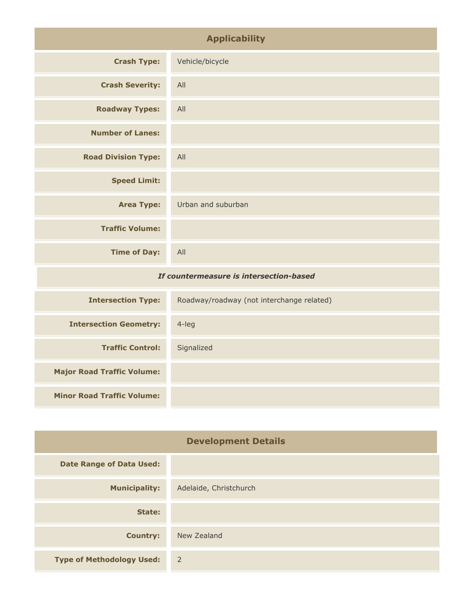| <b>Applicability</b>                    |                                           |
|-----------------------------------------|-------------------------------------------|
| <b>Crash Type:</b>                      | Vehicle/bicycle                           |
| <b>Crash Severity:</b>                  | All                                       |
| <b>Roadway Types:</b>                   | All                                       |
| <b>Number of Lanes:</b>                 |                                           |
| <b>Road Division Type:</b>              | All                                       |
| <b>Speed Limit:</b>                     |                                           |
| <b>Area Type:</b>                       | Urban and suburban                        |
| <b>Traffic Volume:</b>                  |                                           |
| <b>Time of Day:</b>                     | All                                       |
| If countermeasure is intersection-based |                                           |
| <b>Intersection Type:</b>               | Roadway/roadway (not interchange related) |
| <b>Intersection Geometry:</b>           | 4-leg                                     |
| <b>Traffic Control:</b>                 | Signalized                                |

| <b>Development Details</b>       |                        |
|----------------------------------|------------------------|
| <b>Date Range of Data Used:</b>  |                        |
| <b>Municipality:</b>             | Adelaide, Christchurch |
| State:                           |                        |
| <b>Country:</b>                  | New Zealand            |
| <b>Type of Methodology Used:</b> | 2                      |

**Major Road Traffic Volume:**

**Minor Road Traffic Volume:**